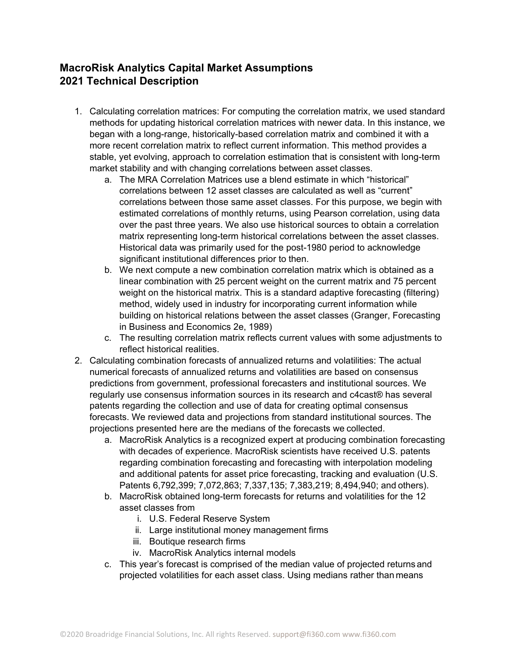## **MacroRisk Analytics Capital Market Assumptions 2021 Technical Description**

- 1. Calculating correlation matrices: For computing the correlation matrix, we used standard methods for updating historical correlation matrices with newer data. In this instance, we began with a long-range, historically-based correlation matrix and combined it with a more recent correlation matrix to reflect current information. This method provides a stable, yet evolving, approach to correlation estimation that is consistent with long-term market stability and with changing correlations between asset classes.
	- a. The MRA Correlation Matrices use a blend estimate in which "historical" correlations between 12 asset classes are calculated as well as "current" correlations between those same asset classes. For this purpose, we begin with estimated correlations of monthly returns, using Pearson correlation, using data over the past three years. We also use historical sources to obtain a correlation matrix representing long-term historical correlations between the asset classes. Historical data was primarily used for the post-1980 period to acknowledge significant institutional differences prior to then.
	- b. We next compute a new combination correlation matrix which is obtained as a linear combination with 25 percent weight on the current matrix and 75 percent weight on the historical matrix. This is a standard adaptive forecasting (filtering) method, widely used in industry for incorporating current information while building on historical relations between the asset classes (Granger, Forecasting in Business and Economics 2e, 1989)
	- c. The resulting correlation matrix reflects current values with some adjustments to reflect historical realities.
- 2. Calculating combination forecasts of annualized returns and volatilities: The actual numerical forecasts of annualized returns and volatilities are based on consensus predictions from government, professional forecasters and institutional sources. We regularly use consensus information sources in its research and c4cast® has several patents regarding the collection and use of data for creating optimal consensus forecasts. We reviewed data and projections from standard institutional sources. The projections presented here are the medians of the forecasts we collected.
	- a. MacroRisk Analytics is a recognized expert at producing combination forecasting with decades of experience. MacroRisk scientists have received U.S. patents regarding combination forecasting and forecasting with interpolation modeling and additional patents for asset price forecasting, tracking and evaluation (U.S. Patents 6,792,399; 7,072,863; 7,337,135; 7,383,219; 8,494,940; and others).
	- b. MacroRisk obtained long-term forecasts for returns and volatilities for the 12 asset classes from
		- i. U.S. Federal Reserve System
		- ii. Large institutional money management firms
		- iii. Boutique research firms
		- iv. MacroRisk Analytics internal models
	- c. This year's forecast is comprised of the median value of projected returns and projected volatilities for each asset class. Using medians rather than means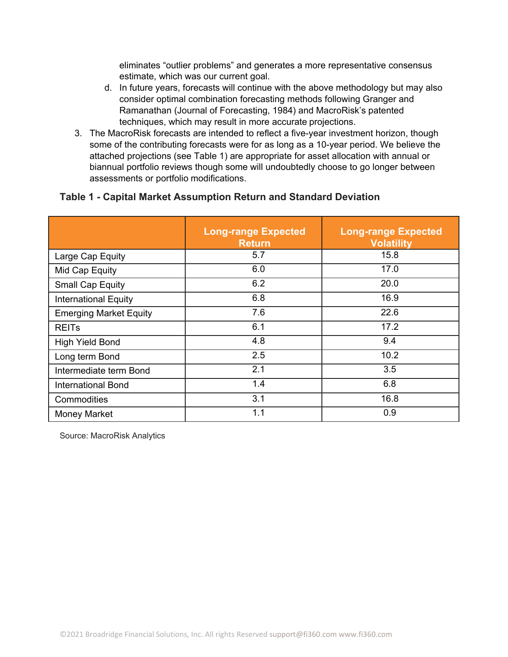eliminates "outlier problems" and generates a more representative consensus estimate, which was our current goal.

- d. In future years, forecasts will continue with the above methodology but may also consider optimal combination forecasting methods following Granger and Ramanathan (Journal of Forecasting, 1984) and MacroRisk's patented techniques, which may result in more accurate projections.
- 3. The MacroRisk forecasts are intended to reflect a five-year investment horizon, though some of the contributing forecasts were for as long as a 10-year period. We believe the attached projections (see Table 1) are appropriate for asset allocation with annual or biannual portfolio reviews though some will undoubtedly choose to go longer between assessments or portfolio modifications.

## **Table 1 - Capital Market Assumption Return and Standard Deviation**

|                               | <b>Long-range Expected</b><br><b>Return</b> | <b>Long-range Expected</b><br><b>Volatility</b> |
|-------------------------------|---------------------------------------------|-------------------------------------------------|
| Large Cap Equity              | 5.7                                         | 15.8                                            |
| Mid Cap Equity                | 6.0                                         | 17.0                                            |
| <b>Small Cap Equity</b>       | 6.2                                         | 20.0                                            |
| <b>International Equity</b>   | 6.8                                         | 16.9                                            |
| <b>Emerging Market Equity</b> | 7.6                                         | 22.6                                            |
| <b>REIT<sub>s</sub></b>       | 6.1                                         | 17.2                                            |
| <b>High Yield Bond</b>        | 4.8                                         | 9.4                                             |
| Long term Bond                | 2.5                                         | 10.2                                            |
| Intermediate term Bond        | 2.1                                         | 3.5                                             |
| <b>International Bond</b>     | 1.4                                         | 6.8                                             |
| Commodities                   | 3.1                                         | 16.8                                            |
| <b>Money Market</b>           | 1.1                                         | 0.9                                             |

Source: MacroRisk Analytics